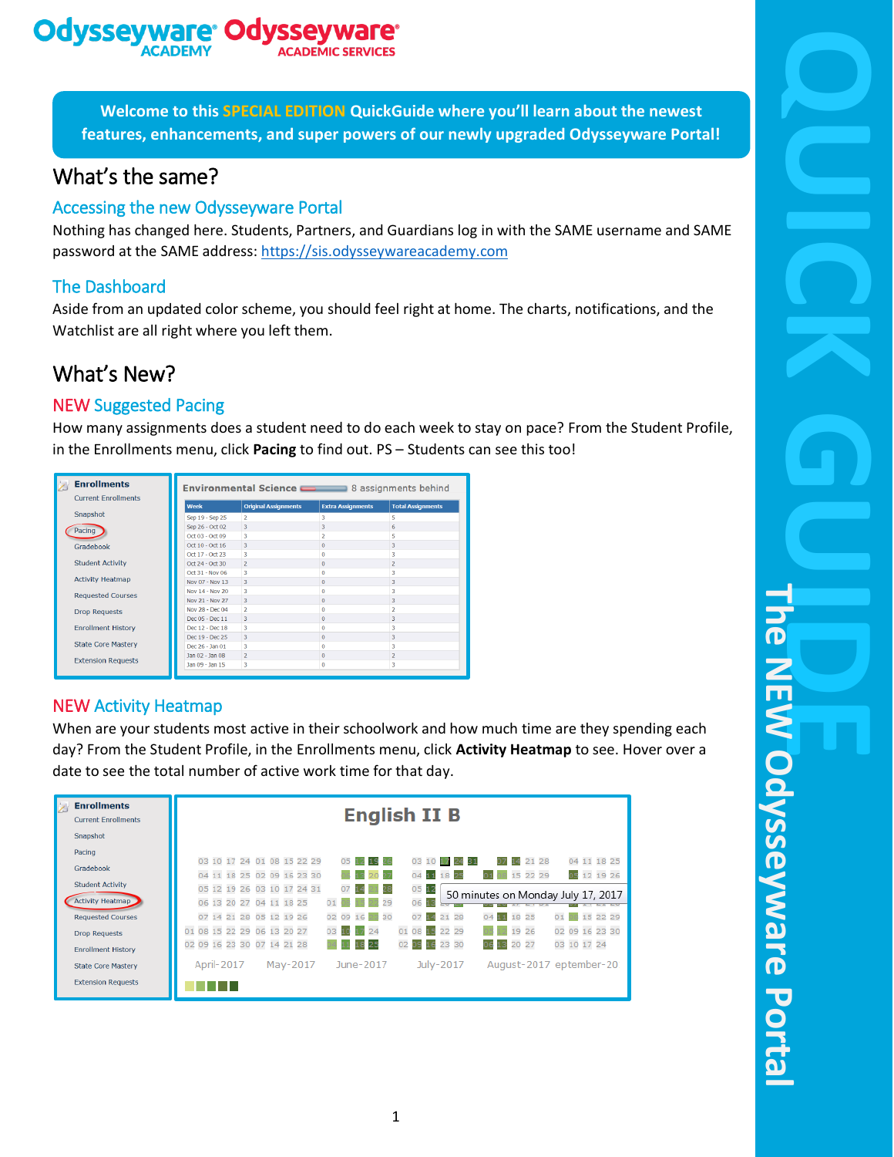### **Odysseywa** oa

**Welcome to this SPECIAL EDITION QuickGuide where you'll learn about the newest features, enhancements, and super powers of our newly upgraded Odysseyware Portal!**

## What's the same?

#### Accessing the new Odysseyware Portal

Nothing has changed here. Students, Partners, and Guardians log in with the SAME username and SAME password at the SAME address: [https://sis.odysseywareacademy.com](https://sis.odysseywareacademy.com/)

### The Dashboard

Aside from an updated color scheme, you should feel right at home. The charts, notifications, and the Watchlist are all right where you left them.

## What's New?

### NEW Suggested Pacing

How many assignments does a student need to do each week to stay on pace? From the Student Profile, in the Enrollments menu, click **Pacing** to find out. PS – Students can see this too!

| <b>Enrollments</b><br><b>Current Enrollments</b> | <b>Environmental Science Community</b> 8 assignments behind |                             |                          |                          |  |
|--------------------------------------------------|-------------------------------------------------------------|-----------------------------|--------------------------|--------------------------|--|
|                                                  | Week                                                        | <b>Original Assignments</b> | <b>Extra Assignments</b> | <b>Total Assignments</b> |  |
| Snapshot                                         | Sep 19 - Sep 25                                             | $\overline{2}$              | 3                        | 5                        |  |
| Pacing                                           | Sep 26 - Oct 02                                             | 3                           | 3                        | 6                        |  |
|                                                  | Oct 03 - Oct 09                                             | 3                           |                          | 5                        |  |
| Gradebook                                        | Oct 10 - Oct 16                                             | 3                           | $\Omega$                 | 3                        |  |
|                                                  | Oct 17 - Oct 23                                             | 3                           | $\Omega$                 | 3                        |  |
| <b>Student Activity</b>                          | Oct 24 - Oct 30                                             | $\mathcal{P}$               | $\Omega$                 | $\overline{a}$           |  |
|                                                  | Oct 31 - Nov 06                                             | 3                           | n                        | 3                        |  |
| <b>Activity Heatmap</b>                          | Nov 07 - Nov 13                                             | 3.                          | $\Omega$                 | 3                        |  |
| <b>Requested Courses</b>                         | Nov 14 - Nov 20                                             | 3                           | $\Omega$                 | 3                        |  |
|                                                  | Nov 21 - Nov 27                                             | 3                           | $\Omega$                 | 3                        |  |
| <b>Drop Requests</b>                             | Nov 28 - Dec 04                                             | $\overline{2}$              | n                        | $\overline{a}$           |  |
|                                                  | Dec 05 - Dec 11                                             | 3                           | $\Omega$                 | 3                        |  |
| <b>Enrollment History</b>                        | Dec 12 - Dec 18                                             | 3                           | n                        | 3                        |  |
|                                                  | Dec 19 - Dec 25                                             | 3                           | $\Omega$                 | 3                        |  |
| <b>State Core Mastery</b>                        | Dec 26 - Jan 01                                             | 3                           | $\Omega$                 | 3                        |  |
| <b>Extension Requests</b>                        | Jan 02 - Jan 08                                             | $\overline{z}$              | $\Omega$                 | $\overline{2}$           |  |
|                                                  | Jan 09 - Jan 15                                             | 3                           | $\ddot{\mathbf{0}}$      | 3                        |  |

### NEW Activity Heatmap

When are your students most active in their schoolwork and how much time are they spending each day? From the Student Profile, in the Enrollments menu, click **Activity Heatmap** to see. Hover over a date to see the total number of active work time for that day.

| <b>Enrollments</b><br><b>Current Enrollments</b><br>Snapshot                   | <b>English II B</b>                                                                                                                                                                                                                      |  |  |  |  |  |  |  |
|--------------------------------------------------------------------------------|------------------------------------------------------------------------------------------------------------------------------------------------------------------------------------------------------------------------------------------|--|--|--|--|--|--|--|
| Pacing<br>Gradebook                                                            | 03 10 17 24 01 08 15 22 29<br>04 11 18 25<br>21 28<br>05<br>03 10 17 24 31<br>19<br>14<br>12 19 26<br>04 11 18 25 02 09 16 23 30<br>15 22 29<br>04<br>18 25<br>20<br>05<br>11<br>01                                                      |  |  |  |  |  |  |  |
| <b>Student Activity</b><br><b>Activity Heatmap</b><br><b>Requested Courses</b> | 05 12 19 26 03 10 17 24 31<br>05<br>07<br>12<br>50 minutes on Monday July 17, 2017<br>06<br>06 13 20 27 04 11 18 25<br>29<br>01<br>07 14 21 28 05 12 19 26<br>15 22 29<br>21 28<br>11 18 25<br>01<br>02 09 16 23<br>30<br>07<br>04<br>14 |  |  |  |  |  |  |  |
| <b>Drop Requests</b><br><b>Enrollment History</b>                              | 01 08 15 22 29 06 13 20 27<br>02 09 16 23 30<br>24<br>01 08 15 22 29<br>OЗ<br>19 26<br>-67<br>02 09 16 23 30 07 14 21 28<br>03 10 17 24<br>23 30<br>20 27<br>02<br>25<br>09<br>16<br>06<br>13                                            |  |  |  |  |  |  |  |
| <b>State Core Mastery</b><br><b>Extension Requests</b>                         | April-2017<br>May-2017<br>July-2017<br>August-2017 eptember-20<br>June-2017                                                                                                                                                              |  |  |  |  |  |  |  |